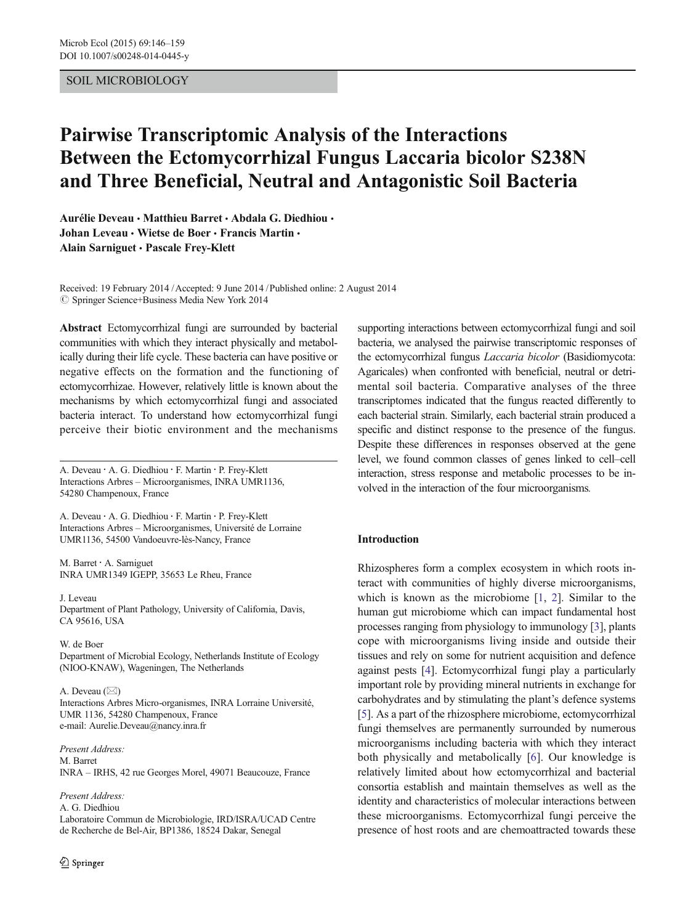# SOIL MICROBIOLOGY

# Pairwise Transcriptomic Analysis of the Interactions Between the Ectomycorrhizal Fungus Laccaria bicolor S238N and Three Beneficial, Neutral and Antagonistic Soil Bacteria

Aurélie Deveau • Matthieu Barret • Abdala G. Diedhiou • Johan Leveau • Wietse de Boer • Francis Martin • Alain Sarniguet & Pascale Frey-Klett

Received: 19 February 2014 /Accepted: 9 June 2014 /Published online: 2 August 2014  $\circledcirc$  Springer Science+Business Media New York 2014

Abstract Ectomycorrhizal fungi are surrounded by bacterial communities with which they interact physically and metabolically during their life cycle. These bacteria can have positive or negative effects on the formation and the functioning of ectomycorrhizae. However, relatively little is known about the mechanisms by which ectomycorrhizal fungi and associated bacteria interact. To understand how ectomycorrhizal fungi perceive their biotic environment and the mechanisms

A. Deveau : A. G. Diedhiou : F. Martin : P. Frey-Klett Interactions Arbres – Microorganismes, INRA UMR1136, 54280 Champenoux, France

A. Deveau : A. G. Diedhiou : F. Martin : P. Frey-Klett Interactions Arbres – Microorganismes, Université de Lorraine UMR1136, 54500 Vandoeuvre-lès-Nancy, France

M. Barret : A. Sarniguet INRA UMR1349 IGEPP, 35653 Le Rheu, France

J. Leveau Department of Plant Pathology, University of California, Davis, CA 95616, USA

W. de Boer Department of Microbial Ecology, Netherlands Institute of Ecology (NIOO-KNAW), Wageningen, The Netherlands

A. Deveau  $(\boxtimes)$ Interactions Arbres Micro-organismes, INRA Lorraine Université, UMR 1136, 54280 Champenoux, France e-mail: Aurelie.Deveau@nancy.inra.fr

Present Address: M. Barret INRA – IRHS, 42 rue Georges Morel, 49071 Beaucouze, France

Present Address: A. G. Diedhiou Laboratoire Commun de Microbiologie, IRD/ISRA/UCAD Centre

de Recherche de Bel-Air, BP1386, 18524 Dakar, Senegal

supporting interactions between ectomycorrhizal fungi and soil bacteria, we analysed the pairwise transcriptomic responses of the ectomycorrhizal fungus Laccaria bicolor (Basidiomycota: Agaricales) when confronted with beneficial, neutral or detrimental soil bacteria. Comparative analyses of the three transcriptomes indicated that the fungus reacted differently to each bacterial strain. Similarly, each bacterial strain produced a specific and distinct response to the presence of the fungus. Despite these differences in responses observed at the gene level, we found common classes of genes linked to cell–cell interaction, stress response and metabolic processes to be involved in the interaction of the four microorganisms.

# Introduction

Rhizospheres form a complex ecosystem in which roots interact with communities of highly diverse microorganisms, which is known as the microbiome [[1,](#page-12-0) [2](#page-12-0)]. Similar to the human gut microbiome which can impact fundamental host processes ranging from physiology to immunology [\[3](#page-12-0)], plants cope with microorganisms living inside and outside their tissues and rely on some for nutrient acquisition and defence against pests [[4\]](#page-12-0). Ectomycorrhizal fungi play a particularly important role by providing mineral nutrients in exchange for carbohydrates and by stimulating the plant's defence systems [\[5](#page-12-0)]. As a part of the rhizosphere microbiome, ectomycorrhizal fungi themselves are permanently surrounded by numerous microorganisms including bacteria with which they interact both physically and metabolically [\[6](#page-12-0)]. Our knowledge is relatively limited about how ectomycorrhizal and bacterial consortia establish and maintain themselves as well as the identity and characteristics of molecular interactions between these microorganisms. Ectomycorrhizal fungi perceive the presence of host roots and are chemoattracted towards these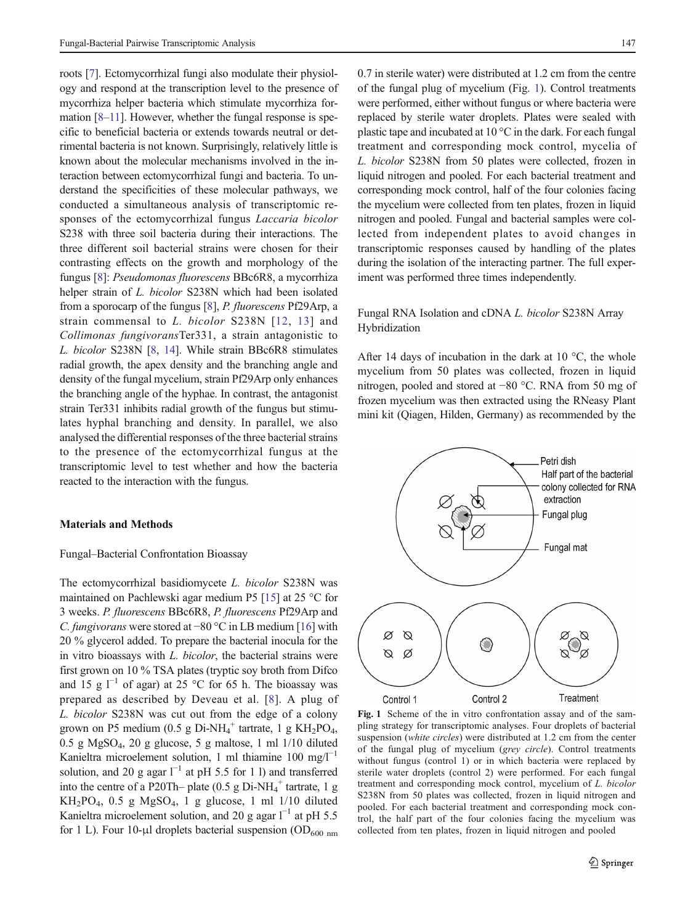<span id="page-1-0"></span>roots [\[7](#page-12-0)]. Ectomycorrhizal fungi also modulate their physiology and respond at the transcription level to the presence of mycorrhiza helper bacteria which stimulate mycorrhiza formation [[8](#page-12-0)–[11\]](#page-12-0). However, whether the fungal response is specific to beneficial bacteria or extends towards neutral or detrimental bacteria is not known. Surprisingly, relatively little is known about the molecular mechanisms involved in the interaction between ectomycorrhizal fungi and bacteria. To understand the specificities of these molecular pathways, we conducted a simultaneous analysis of transcriptomic responses of the ectomycorrhizal fungus Laccaria bicolor S238 with three soil bacteria during their interactions. The three different soil bacterial strains were chosen for their contrasting effects on the growth and morphology of the fungus [\[8](#page-12-0)]: Pseudomonas fluorescens BBc6R8, a mycorrhiza helper strain of *L. bicolor* S238N which had been isolated from a sporocarp of the fungus [\[8](#page-12-0)], P. fluorescens Pf29Arp, a strain commensal to L. bicolor S238N [[12,](#page-12-0) [13](#page-12-0)] and Collimonas fungivoransTer331, a strain antagonistic to L. bicolor S238N [\[8,](#page-12-0) [14](#page-12-0)]. While strain BBc6R8 stimulates radial growth, the apex density and the branching angle and density of the fungal mycelium, strain Pf29Arp only enhances the branching angle of the hyphae. In contrast, the antagonist strain Ter331 inhibits radial growth of the fungus but stimulates hyphal branching and density. In parallel, we also analysed the differential responses of the three bacterial strains to the presence of the ectomycorrhizal fungus at the transcriptomic level to test whether and how the bacteria reacted to the interaction with the fungus.

#### Materials and Methods

#### Fungal–Bacterial Confrontation Bioassay

The ectomycorrhizal basidiomycete L. bicolor S238N was maintained on Pachlewski agar medium P5 [[15](#page-12-0)] at 25 °C for 3 weeks. P. fluorescens BBc6R8, P. fluorescens Pf29Arp and C. fungivorans were stored at −80 °C in LB medium [[16\]](#page-13-0) with 20 % glycerol added. To prepare the bacterial inocula for the in vitro bioassays with L. bicolor, the bacterial strains were first grown on 10 % TSA plates (tryptic soy broth from Difco and 15 g  $l^{-1}$  of agar) at 25 °C for 65 h. The bioassay was prepared as described by Deveau et al. [[8](#page-12-0)]. A plug of L. bicolor S238N was cut out from the edge of a colony grown on P5 medium (0.5 g Di-N $H_4$ <sup>+</sup> tartrate, 1 g K $H_2$ PO<sub>4</sub>,  $0.5$  g MgSO<sub>4</sub>, 20 g glucose, 5 g maltose, 1 ml  $1/10$  diluted Kanieltra microelement solution, 1 ml thiamine 100 mg/l<sup>-1</sup> solution, and 20 g agar  $l^{-1}$  at pH 5.5 for 1 l) and transferred into the centre of a P20Th– plate  $(0.5 \text{ g Di-NH}_4^+$  tartrate, 1 g  $KH_2PO_4$ , 0.5 g MgSO<sub>4</sub>, 1 g glucose, 1 ml 1/10 diluted Kanieltra microelement solution, and 20 g agar  $l^{-1}$  at pH 5.5 for 1 L). Four 10-μl droplets bacterial suspension  $OD_{600 \text{ nm}}$  0.7 in sterile water) were distributed at 1.2 cm from the centre of the fungal plug of mycelium (Fig. 1). Control treatments were performed, either without fungus or where bacteria were replaced by sterile water droplets. Plates were sealed with plastic tape and incubated at 10 °C in the dark. For each fungal treatment and corresponding mock control, mycelia of L. bicolor S238N from 50 plates were collected, frozen in liquid nitrogen and pooled. For each bacterial treatment and corresponding mock control, half of the four colonies facing the mycelium were collected from ten plates, frozen in liquid nitrogen and pooled. Fungal and bacterial samples were collected from independent plates to avoid changes in transcriptomic responses caused by handling of the plates during the isolation of the interacting partner. The full experiment was performed three times independently.

# Fungal RNA Isolation and cDNA L. bicolor S238N Array Hybridization

After 14 days of incubation in the dark at 10  $\degree$ C, the whole mycelium from 50 plates was collected, frozen in liquid nitrogen, pooled and stored at −80 °C. RNA from 50 mg of frozen mycelium was then extracted using the RNeasy Plant mini kit (Qiagen, Hilden, Germany) as recommended by the



Fig. 1 Scheme of the in vitro confrontation assay and of the sampling strategy for transcriptomic analyses. Four droplets of bacterial suspension (white circles) were distributed at 1.2 cm from the center of the fungal plug of mycelium (grey circle). Control treatments without fungus (control 1) or in which bacteria were replaced by sterile water droplets (control 2) were performed. For each fungal treatment and corresponding mock control, mycelium of L. bicolor S238N from 50 plates was collected, frozen in liquid nitrogen and pooled. For each bacterial treatment and corresponding mock control, the half part of the four colonies facing the mycelium was collected from ten plates, frozen in liquid nitrogen and pooled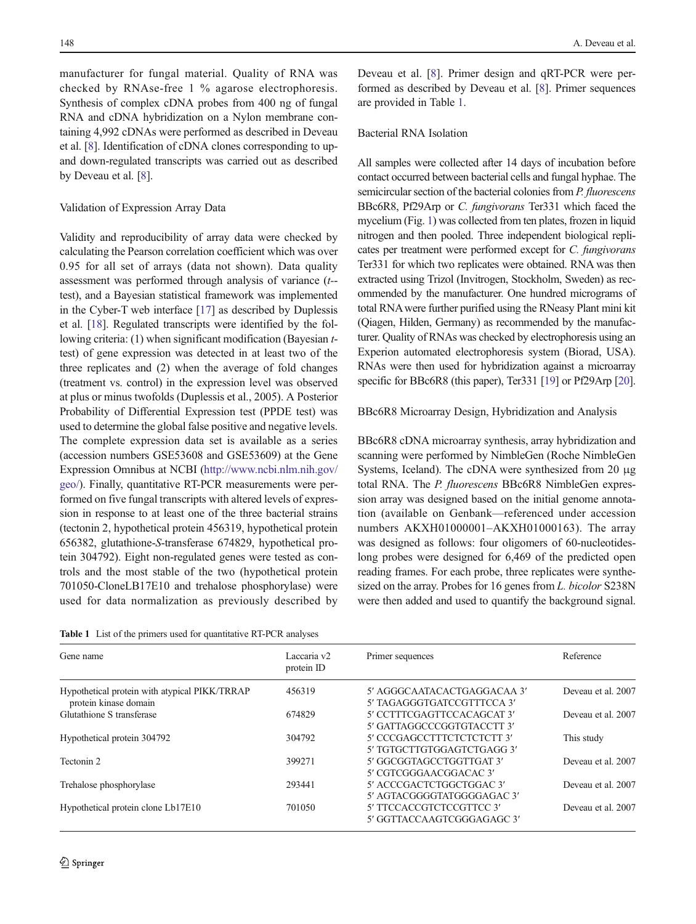manufacturer for fungal material. Quality of RNA was checked by RNAse-free 1 % agarose electrophoresis. Synthesis of complex cDNA probes from 400 ng of fungal RNA and cDNA hybridization on a Nylon membrane containing 4,992 cDNAs were performed as described in Deveau et al. [\[8](#page-12-0)]. Identification of cDNA clones corresponding to upand down-regulated transcripts was carried out as described by Deveau et al. [\[8](#page-12-0)].

#### Validation of Expression Array Data

Validity and reproducibility of array data were checked by calculating the Pearson correlation coefficient which was over 0.95 for all set of arrays (data not shown). Data quality assessment was performed through analysis of variance (t- test), and a Bayesian statistical framework was implemented in the Cyber-T web interface [\[17\]](#page-13-0) as described by Duplessis et al. [[18\]](#page-13-0). Regulated transcripts were identified by the following criteria: (1) when significant modification (Bayesian ttest) of gene expression was detected in at least two of the three replicates and (2) when the average of fold changes (treatment vs. control) in the expression level was observed at plus or minus twofolds (Duplessis et al., 2005). A Posterior Probability of Differential Expression test (PPDE test) was used to determine the global false positive and negative levels. The complete expression data set is available as a series (accession numbers GSE53608 and GSE53609) at the Gene Expression Omnibus at NCBI ([http://www.ncbi.nlm.nih.gov/](http://www.ncbi.nlm.nih.gov/geo/) [geo/\)](http://www.ncbi.nlm.nih.gov/geo/). Finally, quantitative RT-PCR measurements were performed on five fungal transcripts with altered levels of expression in response to at least one of the three bacterial strains (tectonin 2, hypothetical protein 456319, hypothetical protein 656382, glutathione-S-transferase 674829, hypothetical protein 304792). Eight non-regulated genes were tested as controls and the most stable of the two (hypothetical protein 701050-CloneLB17E10 and trehalose phosphorylase) were used for data normalization as previously described by

Table 1 List of the primers used for quantitative RT-PCR analyses

Deveau et al. [[8\]](#page-12-0). Primer design and qRT-PCR were performed as described by Deveau et al. [[8](#page-12-0)]. Primer sequences are provided in Table 1.

# Bacterial RNA Isolation

All samples were collected after 14 days of incubation before contact occurred between bacterial cells and fungal hyphae. The semicircular section of the bacterial colonies from P. fluorescens BBc6R8, Pf29Arp or C. fungivorans Ter331 which faced the mycelium (Fig. [1](#page-1-0)) was collected from ten plates, frozen in liquid nitrogen and then pooled. Three independent biological replicates per treatment were performed except for C. fungivorans Ter331 for which two replicates were obtained. RNA was then extracted using Trizol (Invitrogen, Stockholm, Sweden) as recommended by the manufacturer. One hundred micrograms of total RNAwere further purified using the RNeasy Plant mini kit (Qiagen, Hilden, Germany) as recommended by the manufacturer. Quality of RNAs was checked by electrophoresis using an Experion automated electrophoresis system (Biorad, USA). RNAs were then used for hybridization against a microarray specific for BBc6R8 (this paper), Ter331 [\[19](#page-13-0)] or Pf29Arp [\[20\]](#page-13-0).

#### BBc6R8 Microarray Design, Hybridization and Analysis

BBc6R8 cDNA microarray synthesis, array hybridization and scanning were performed by NimbleGen (Roche NimbleGen Systems, Iceland). The cDNA were synthesized from 20 μg total RNA. The P. fluorescens BBc6R8 NimbleGen expression array was designed based on the initial genome annotation (available on Genbank—referenced under accession numbers AKXH01000001–AKXH01000163). The array was designed as follows: four oligomers of 60-nucleotideslong probes were designed for 6,469 of the predicted open reading frames. For each probe, three replicates were synthesized on the array. Probes for 16 genes from *L. bicolor* S238N were then added and used to quantify the background signal.

| Gene name                                     | Laccaria v2<br>protein ID | Primer sequences            | Reference          |
|-----------------------------------------------|---------------------------|-----------------------------|--------------------|
| Hypothetical protein with atypical PIKK/TRRAP | 456319                    | 5' AGGGCAATACACTGAGGACAA 3' | Deveau et al. 2007 |
| protein kinase domain                         |                           | 5' TAGAGGGTGATCCGTTTCCA 3'  |                    |
| Glutathione S transferase                     | 674829                    | 5' CCTTTCGAGTTCCACAGCAT 3'  | Deveau et al. 2007 |
|                                               |                           | 5' GATTAGGCCCGGTGTACCTT 3'  |                    |
| Hypothetical protein 304792                   | 304792                    | 5' CCCGAGCCTTTCTCTCTCTT 3'  | This study         |
|                                               |                           | 5' TGTGCTTGTGGAGTCTGAGG 3'  |                    |
| Tectonin 2                                    | 399271                    | 5' GGCGGTAGCCTGGTTGAT 3'    | Deveau et al. 2007 |
|                                               |                           | 5' CGTCGGGAACGGACAC 3'      |                    |
| Trehalose phosphorylase                       | 293441                    | 5' ACCCGACTCTGGCTGGAC 3'    | Deveau et al. 2007 |
|                                               |                           | 5' AGTACGGGGTATGGGGAGAC 3'  |                    |
| Hypothetical protein clone Lb17E10            | 701050                    | 5' TTCCACCGTCTCCGTTCC 3'    | Deveau et al. 2007 |
|                                               |                           | 5' GGTTACCAAGTCGGGAGAGC 3'  |                    |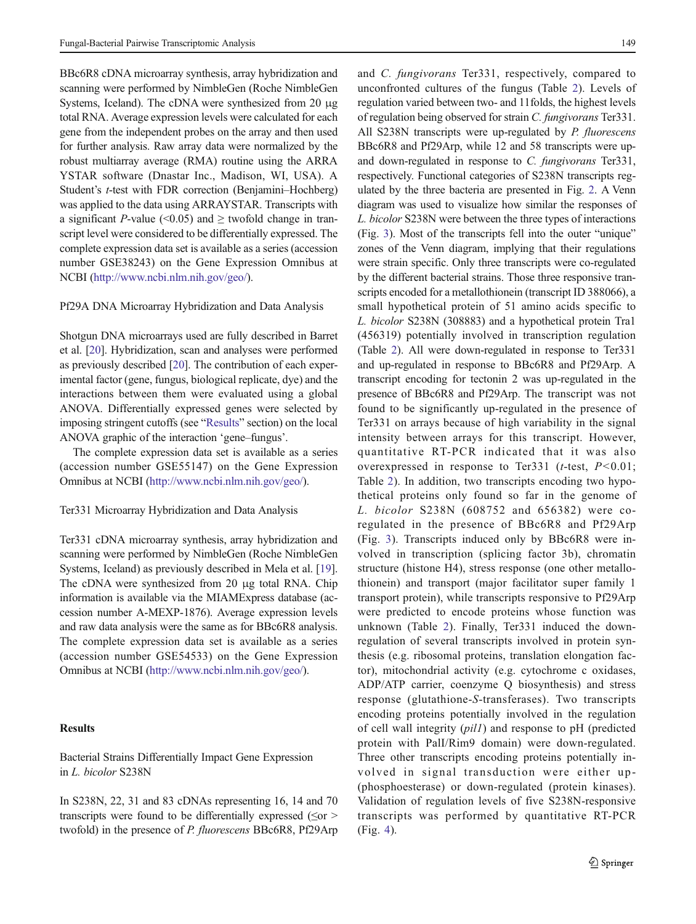BBc6R8 cDNA microarray synthesis, array hybridization and scanning were performed by NimbleGen (Roche NimbleGen Systems, Iceland). The cDNA were synthesized from 20 μg total RNA. Average expression levels were calculated for each gene from the independent probes on the array and then used for further analysis. Raw array data were normalized by the robust multiarray average (RMA) routine using the ARRA YSTAR software (Dnastar Inc., Madison, WI, USA). A Student's t-test with FDR correction (Benjamini–Hochberg) was applied to the data using ARRAYSTAR. Transcripts with a significant P-value (<0.05) and  $\geq$  twofold change in transcript level were considered to be differentially expressed. The complete expression data set is available as a series (accession number GSE38243) on the Gene Expression Omnibus at NCBI [\(http://www.ncbi.nlm.nih.gov/geo/](http://www.ncbi.nlm.nih.gov/geo/)).

#### Pf29A DNA Microarray Hybridization and Data Analysis

Shotgun DNA microarrays used are fully described in Barret et al. [\[20](#page-13-0)]. Hybridization, scan and analyses were performed as previously described [\[20\]](#page-13-0). The contribution of each experimental factor (gene, fungus, biological replicate, dye) and the interactions between them were evaluated using a global ANOVA. Differentially expressed genes were selected by imposing stringent cutoffs (see "Results" section) on the local ANOVA graphic of the interaction 'gene–fungus'.

The complete expression data set is available as a series (accession number GSE55147) on the Gene Expression Omnibus at NCBI [\(http://www.ncbi.nlm.nih.gov/geo/](http://www.ncbi.nlm.nih.gov/geo/)).

#### Ter331 Microarray Hybridization and Data Analysis

Ter331 cDNA microarray synthesis, array hybridization and scanning were performed by NimbleGen (Roche NimbleGen Systems, Iceland) as previously described in Mela et al. [[19\]](#page-13-0). The cDNA were synthesized from 20 μg total RNA. Chip information is available via the MIAMExpress database (accession number A-MEXP-1876). Average expression levels and raw data analysis were the same as for BBc6R8 analysis. The complete expression data set is available as a series (accession number GSE54533) on the Gene Expression Omnibus at NCBI [\(http://www.ncbi.nlm.nih.gov/geo/](http://www.ncbi.nlm.nih.gov/geo/)).

# Results

Bacterial Strains Differentially Impact Gene Expression in L. bicolor S238N

In S238N, 22, 31 and 83 cDNAs representing 16, 14 and 70 transcripts were found to be differentially expressed  $(\leq$  or  $>$ twofold) in the presence of P. fluorescens BBc6R8, Pf29Arp and C. fungivorans Ter331, respectively, compared to unconfronted cultures of the fungus (Table [2\)](#page-4-0). Levels of regulation varied between two- and 11folds, the highest levels of regulation being observed for strain C. fungivorans Ter331. All S238N transcripts were up-regulated by *P. fluorescens* BBc6R8 and Pf29Arp, while 12 and 58 transcripts were upand down-regulated in response to C. fungivorans Ter331, respectively. Functional categories of S238N transcripts regulated by the three bacteria are presented in Fig. [2.](#page-6-0) A Venn diagram was used to visualize how similar the responses of L. bicolor S238N were between the three types of interactions (Fig. [3](#page-7-0)). Most of the transcripts fell into the outer "unique" zones of the Venn diagram, implying that their regulations were strain specific. Only three transcripts were co-regulated by the different bacterial strains. Those three responsive transcripts encoded for a metallothionein (transcript ID 388066), a small hypothetical protein of 51 amino acids specific to L. bicolor S238N (308883) and a hypothetical protein Tra1 (456319) potentially involved in transcription regulation (Table [2\)](#page-4-0). All were down-regulated in response to Ter331 and up-regulated in response to BBc6R8 and Pf29Arp. A transcript encoding for tectonin 2 was up-regulated in the presence of BBc6R8 and Pf29Arp. The transcript was not found to be significantly up-regulated in the presence of Ter331 on arrays because of high variability in the signal intensity between arrays for this transcript. However, quantitative RT-PCR indicated that it was also overexpressed in response to Ter331 (t-test,  $P < 0.01$ ; Table [2\)](#page-4-0). In addition, two transcripts encoding two hypothetical proteins only found so far in the genome of L. bicolor S238N (608752 and 656382) were coregulated in the presence of BBc6R8 and Pf29Arp (Fig. [3](#page-7-0)). Transcripts induced only by BBc6R8 were involved in transcription (splicing factor 3b), chromatin structure (histone H4), stress response (one other metallothionein) and transport (major facilitator super family 1 transport protein), while transcripts responsive to Pf29Arp were predicted to encode proteins whose function was unknown (Table [2](#page-4-0)). Finally, Ter331 induced the downregulation of several transcripts involved in protein synthesis (e.g. ribosomal proteins, translation elongation factor), mitochondrial activity (e.g. cytochrome c oxidases, ADP/ATP carrier, coenzyme Q biosynthesis) and stress response (glutathione-S-transferases). Two transcripts encoding proteins potentially involved in the regulation of cell wall integrity (pil1) and response to pH (predicted protein with PalI/Rim9 domain) were down-regulated. Three other transcripts encoding proteins potentially involved in signal transduction were either up- (phosphoesterase) or down-regulated (protein kinases). Validation of regulation levels of five S238N-responsive transcripts was performed by quantitative RT-PCR (Fig. [4](#page-7-0)).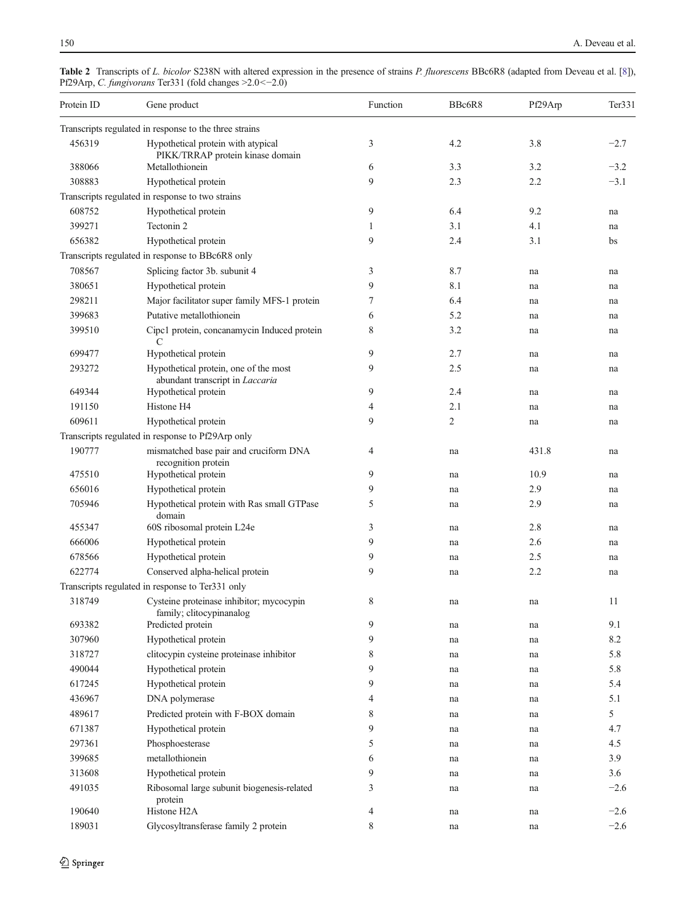<span id="page-4-0"></span>

|                                                                 | Table 2 Transcripts of L. bicolor S238N with altered expression in the presence of strains P. fluorescens BBc6R8 (adapted from Deveau et al. [8]), |  |  |
|-----------------------------------------------------------------|----------------------------------------------------------------------------------------------------------------------------------------------------|--|--|
| Pf29Arp, C. fungivorans Ter331 (fold changes $\geq$ 2.0 < -2.0) |                                                                                                                                                    |  |  |

| Protein ID | Gene product                                                                    | Function | BBc6R8 | Pf29Arp | Ter331 |
|------------|---------------------------------------------------------------------------------|----------|--------|---------|--------|
|            | Transcripts regulated in response to the three strains                          |          |        |         |        |
| 456319     | Hypothetical protein with atypical<br>PIKK/TRRAP protein kinase domain          | 3        | 4.2    | 3.8     | $-2.7$ |
| 388066     | Metallothionein                                                                 | 6        | 3.3    | 3.2     | $-3.2$ |
| 308883     | Hypothetical protein                                                            | 9        | 2.3    | 2.2     | $-3.1$ |
|            | Transcripts regulated in response to two strains                                |          |        |         |        |
| 608752     | Hypothetical protein                                                            | 9        | 6.4    | 9.2     | na     |
| 399271     | Tectonin 2                                                                      | 1        | 3.1    | 4.1     | na     |
| 656382     | Hypothetical protein                                                            | 9        | 2.4    | 3.1     | bs     |
|            | Transcripts regulated in response to BBc6R8 only                                |          |        |         |        |
| 708567     | Splicing factor 3b. subunit 4                                                   | 3        | 8.7    | na      | na     |
| 380651     | Hypothetical protein                                                            | 9        | 8.1    | na      | na     |
| 298211     | Major facilitator super family MFS-1 protein                                    | 7        | 6.4    | na      | na     |
| 399683     | Putative metallothionein                                                        | 6        | 5.2    | na      | na     |
| 399510     | Cipc1 protein, concanamycin Induced protein<br>C                                | 8        | 3.2    | na      | na     |
| 699477     | Hypothetical protein                                                            | 9        | 2.7    | na      | na     |
| 293272     | Hypothetical protein, one of the most<br>abundant transcript in <i>Laccaria</i> | 9        | 2.5    | na      | na     |
| 649344     | Hypothetical protein                                                            | 9        | 2.4    | na      | na     |
| 191150     | Histone H4                                                                      | 4        | 2.1    | na      | na     |
| 609611     | Hypothetical protein                                                            | 9        | 2      | na      | na     |
|            | Transcripts regulated in response to Pf29Arp only                               |          |        |         |        |
| 190777     | mismatched base pair and cruciform DNA<br>recognition protein                   | 4        | na     | 431.8   | na     |
| 475510     | Hypothetical protein                                                            | 9        | na     | 10.9    | na     |
| 656016     | Hypothetical protein                                                            | 9        | na     | 2.9     | na     |
| 705946     | Hypothetical protein with Ras small GTPase<br>domain                            | 5        | na     | 2.9     | na     |
| 455347     | 60S ribosomal protein L24e                                                      | 3        | na     | 2.8     | na     |
| 666006     | Hypothetical protein                                                            | 9        | na     | 2.6     | na     |
| 678566     | Hypothetical protein                                                            | 9        | na     | 2.5     | na     |
| 622774     | Conserved alpha-helical protein                                                 | 9        | na     | 2.2     | na     |
|            | Transcripts regulated in response to Ter331 only                                |          |        |         |        |
| 318749     | Cysteine proteinase inhibitor; mycocypin<br>family; clitocypinanalog            | 8        | na     | na      | 11     |
| 693382     | Predicted protein                                                               | 9        | na     | na      | 9.1    |
| 307960     | Hypothetical protein                                                            | 9        | na     | na      | 8.2    |
| 318727     | clitocypin cysteine proteinase inhibitor                                        | 8        | na     | na      | 5.8    |
| 490044     | Hypothetical protein                                                            | 9        | na     | na      | 5.8    |
| 617245     | Hypothetical protein                                                            | 9        | na     | na      | 5.4    |
| 436967     | DNA polymerase                                                                  | 4        | na     | na      | 5.1    |
| 489617     | Predicted protein with F-BOX domain                                             | 8        | na     | na      | 5      |
| 671387     | Hypothetical protein                                                            | 9        | na     | na      | 4.7    |
| 297361     | Phosphoesterase                                                                 | 5        | na     | na      | 4.5    |
| 399685     | metallothionein                                                                 | 6        | na     | na      | 3.9    |
| 313608     | Hypothetical protein                                                            | 9        | na     | na      | 3.6    |
| 491035     | Ribosomal large subunit biogenesis-related<br>protein                           | 3        | na     | na      | $-2.6$ |
| 190640     | Histone H <sub>2</sub> A                                                        | 4        | na     | na      | $-2.6$ |
| 189031     | Glycosyltransferase family 2 protein                                            | 8        | na     | na      | $-2.6$ |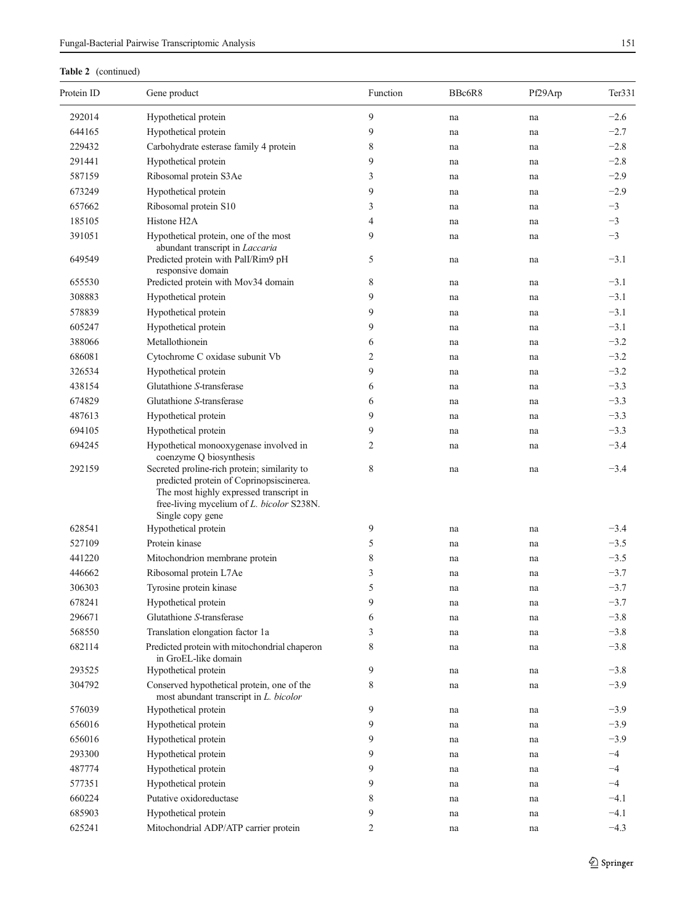Table 2 (continued)

| Protein ID | Gene product                                                                                                                                                                                         | Function       | BBc6R8 | Pf29Arp | Ter331 |
|------------|------------------------------------------------------------------------------------------------------------------------------------------------------------------------------------------------------|----------------|--------|---------|--------|
| 292014     | Hypothetical protein                                                                                                                                                                                 | 9              | na     | na      | $-2.6$ |
| 644165     | Hypothetical protein                                                                                                                                                                                 | 9              | na     | na      | $-2.7$ |
| 229432     | Carbohydrate esterase family 4 protein                                                                                                                                                               | 8              | na     | na      | $-2.8$ |
| 291441     | Hypothetical protein                                                                                                                                                                                 | 9              | na     | na      | $-2.8$ |
| 587159     | Ribosomal protein S3Ae                                                                                                                                                                               | 3              | na     | na      | $-2.9$ |
| 673249     | Hypothetical protein                                                                                                                                                                                 | 9              | na     | na      | $-2.9$ |
| 657662     | Ribosomal protein S10                                                                                                                                                                                | 3              | na     | na      | $-3$   |
| 185105     | Histone H2A                                                                                                                                                                                          | 4              | na     | na      | $-3$   |
| 391051     | Hypothetical protein, one of the most<br>abundant transcript in Laccaria                                                                                                                             | 9              | na     | na      | $-3$   |
| 649549     | Predicted protein with PalI/Rim9 pH<br>responsive domain                                                                                                                                             | 5              | na     | na      | $-3.1$ |
| 655530     | Predicted protein with Mov34 domain                                                                                                                                                                  | 8              | na     | na      | $-3.1$ |
| 308883     | Hypothetical protein                                                                                                                                                                                 | 9              | na     | na      | $-3.1$ |
| 578839     | Hypothetical protein                                                                                                                                                                                 | 9              | na     | na      | $-3.1$ |
| 605247     | Hypothetical protein                                                                                                                                                                                 | 9              | na     | na      | $-3.1$ |
| 388066     | Metallothionein                                                                                                                                                                                      | 6              | na     | na      | $-3.2$ |
| 686081     | Cytochrome C oxidase subunit Vb                                                                                                                                                                      | $\overline{2}$ | na     | na      | $-3.2$ |
| 326534     | Hypothetical protein                                                                                                                                                                                 | 9              | na     | na      | $-3.2$ |
| 438154     | Glutathione S-transferase                                                                                                                                                                            | 6              | na     | na      | $-3.3$ |
| 674829     | Glutathione S-transferase                                                                                                                                                                            | 6              | na     | na      | $-3.3$ |
| 487613     | Hypothetical protein                                                                                                                                                                                 | 9              | na     | na      | $-3.3$ |
| 694105     | Hypothetical protein                                                                                                                                                                                 | 9              | na     | na      | $-3.3$ |
| 694245     | Hypothetical monooxygenase involved in<br>coenzyme Q biosynthesis                                                                                                                                    | 2              | na     | na      | $-3.4$ |
| 292159     | Secreted proline-rich protein; similarity to<br>predicted protein of Coprinopsiscinerea.<br>The most highly expressed transcript in<br>free-living mycelium of L. bicolor S238N.<br>Single copy gene | 8              | na     | na      | $-3.4$ |
| 628541     | Hypothetical protein                                                                                                                                                                                 | 9              | na     | na      | $-3.4$ |
| 527109     | Protein kinase                                                                                                                                                                                       | 5              | na     | na      | $-3.5$ |
| 441220     | Mitochondrion membrane protein                                                                                                                                                                       | 8              | na     | na      | $-3.5$ |
| 446662     | Ribosomal protein L7Ae                                                                                                                                                                               | 3              | na     | na      | $-3.7$ |
| 306303     | Tyrosine protein kinase                                                                                                                                                                              | 5              | na     | na      | $-3.7$ |
| 678241     | Hypothetical protein                                                                                                                                                                                 | $\mathbf Q$    | na     | na      | $-3.7$ |
| 296671     | Glutathione S-transferase                                                                                                                                                                            | 6              | na     | na      | $-3.8$ |
| 568550     | Translation elongation factor 1a                                                                                                                                                                     | 3              | na     | na      | $-3.8$ |
| 682114     | Predicted protein with mitochondrial chaperon<br>in GroEL-like domain                                                                                                                                | 8              | na     | na      | $-3.8$ |
| 293525     | Hypothetical protein                                                                                                                                                                                 | 9              | na     | na      | $-3.8$ |
| 304792     | Conserved hypothetical protein, one of the<br>most abundant transcript in L. bicolor                                                                                                                 | 8              | na     | na      | $-3.9$ |
| 576039     | Hypothetical protein                                                                                                                                                                                 | 9              | na     | na      | $-3.9$ |
| 656016     | Hypothetical protein                                                                                                                                                                                 | 9              | na     | na      | $-3.9$ |
| 656016     | Hypothetical protein                                                                                                                                                                                 | 9              | na     | na      | $-3.9$ |
| 293300     | Hypothetical protein                                                                                                                                                                                 | 9              | na     | na      | $-4$   |
| 487774     | Hypothetical protein                                                                                                                                                                                 | 9              | na     | na      | -4     |
| 577351     | Hypothetical protein                                                                                                                                                                                 | 9              | na     | na      | -4     |
| 660224     | Putative oxidoreductase                                                                                                                                                                              | 8              | na     | na      | $-4.1$ |
| 685903     | Hypothetical protein                                                                                                                                                                                 | 9              | na     | na      | $-4.1$ |
| 625241     | Mitochondrial ADP/ATP carrier protein                                                                                                                                                                | $\overline{2}$ | na     | na      | $-4.3$ |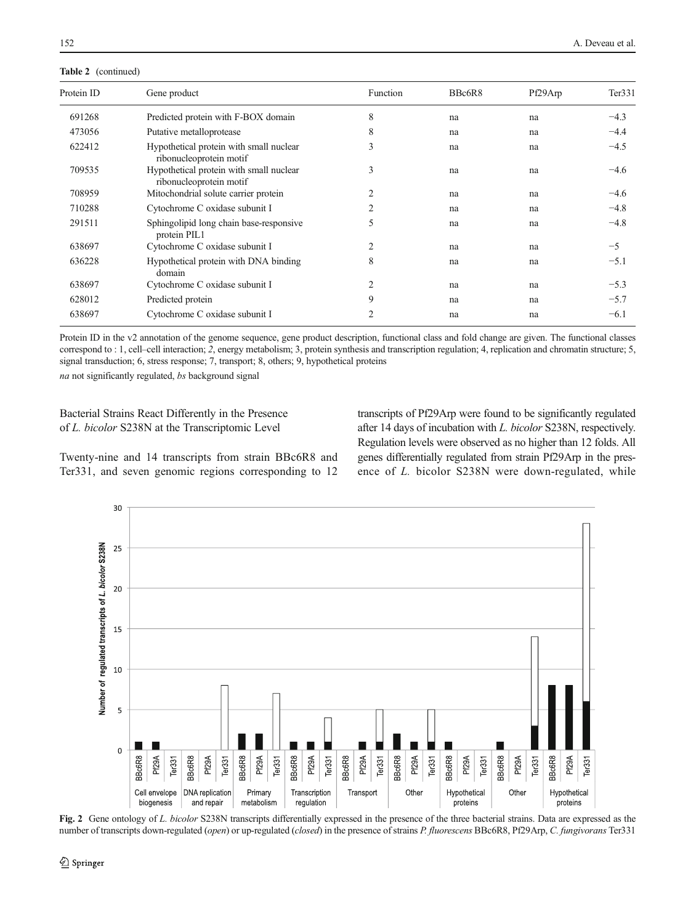#### <span id="page-6-0"></span>Table 2 (continued)

| Protein ID | Gene product                                                       | Function       | BBc6R8 | Pf29Arp | Ter331 |
|------------|--------------------------------------------------------------------|----------------|--------|---------|--------|
| 691268     | Predicted protein with F-BOX domain                                | 8              | na     | na      | $-4.3$ |
| 473056     | Putative metalloprotease                                           | 8              | na     | na      | $-4.4$ |
| 622412     | Hypothetical protein with small nuclear<br>ribonucleoprotein motif | 3              | na     | na      | $-4.5$ |
| 709535     | Hypothetical protein with small nuclear<br>ribonucleoprotein motif | 3              | na     | na      | $-4.6$ |
| 708959     | Mitochondrial solute carrier protein                               | 2              | na     | na      | $-4.6$ |
| 710288     | Cytochrome C oxidase subunit I                                     | 2              | na     | na      | $-4.8$ |
| 291511     | Sphingolipid long chain base-responsive<br>protein PIL1            | 5              | na     | na      | $-4.8$ |
| 638697     | Cytochrome C oxidase subunit I                                     | 2              | na     | na      | $-5$   |
| 636228     | Hypothetical protein with DNA binding<br>domain                    | 8              | na     | na      | $-5.1$ |
| 638697     | Cytochrome C oxidase subunit I                                     | $\overline{2}$ | na     | na      | $-5.3$ |
| 628012     | Predicted protein                                                  | 9              | na     | na      | $-5.7$ |
| 638697     | Cytochrome C oxidase subunit I                                     | $\overline{c}$ | na     | na      | $-6.1$ |

Protein ID in the v2 annotation of the genome sequence, gene product description, functional class and fold change are given. The functional classes correspond to : 1, cell–cell interaction; 2, energy metabolism; 3, protein synthesis and transcription regulation; 4, replication and chromatin structure; 5, signal transduction; 6, stress response; 7, transport; 8, others; 9, hypothetical proteins

na not significantly regulated, bs background signal

# Bacterial Strains React Differently in the Presence of L. bicolor S238N at the Transcriptomic Level

transcripts of Pf29Arp were found to be significantly regulated after 14 days of incubation with L. bicolor S238N, respectively. Regulation levels were observed as no higher than 12 folds. All genes differentially regulated from strain Pf29Arp in the presence of L. bicolor S238N were down-regulated, while

Twenty-nine and 14 transcripts from strain BBc6R8 and Ter331, and seven genomic regions corresponding to 12



Fig. 2 Gene ontology of L. bicolor S238N transcripts differentially expressed in the presence of the three bacterial strains. Data are expressed as the number of transcripts down-regulated (open) or up-regulated (closed) in the presence of strains P. fluorescens BBc6R8, Pf29Arp, C. fungivorans Ter331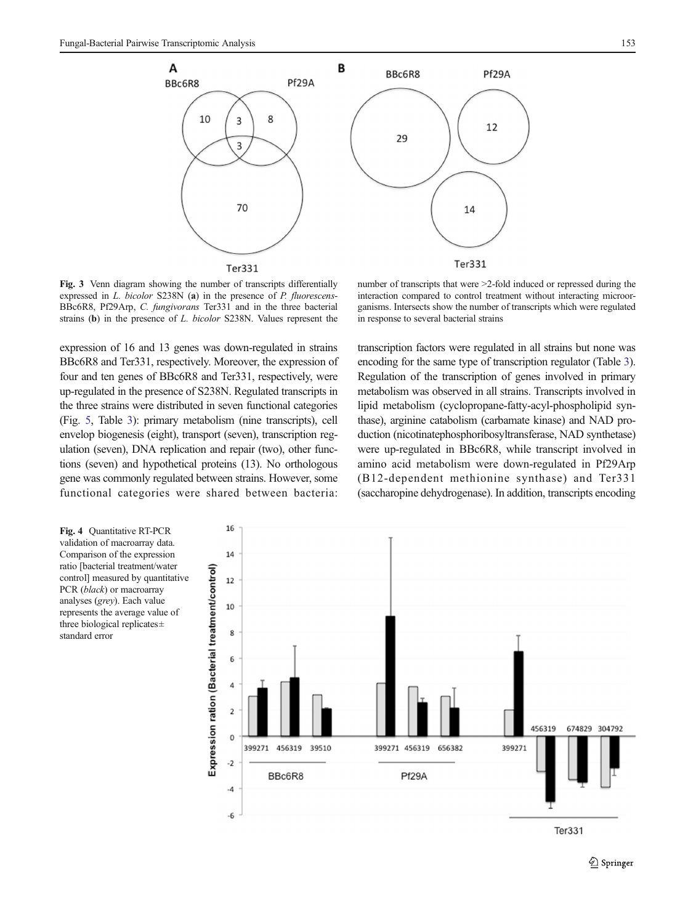<span id="page-7-0"></span>

Fig. 3 Venn diagram showing the number of transcripts differentially expressed in L. bicolor S238N (a) in the presence of P. fluorescens-BBc6R8, Pf29Arp, C. fungivorans Ter331 and in the three bacterial strains (b) in the presence of L. bicolor S238N. Values represent the

number of transcripts that were >2-fold induced or repressed during the interaction compared to control treatment without interacting microorganisms. Intersects show the number of transcripts which were regulated in response to several bacterial strains

expression of 16 and 13 genes was down-regulated in strains BBc6R8 and Ter331, respectively. Moreover, the expression of four and ten genes of BBc6R8 and Ter331, respectively, were up-regulated in the presence of S238N. Regulated transcripts in the three strains were distributed in seven functional categories (Fig. [5,](#page-8-0) Table [3\)](#page-9-0): primary metabolism (nine transcripts), cell envelop biogenesis (eight), transport (seven), transcription regulation (seven), DNA replication and repair (two), other functions (seven) and hypothetical proteins (13). No orthologous gene was commonly regulated between strains. However, some functional categories were shared between bacteria:

transcription factors were regulated in all strains but none was encoding for the same type of transcription regulator (Table [3\)](#page-9-0). Regulation of the transcription of genes involved in primary metabolism was observed in all strains. Transcripts involved in lipid metabolism (cyclopropane-fatty-acyl-phospholipid synthase), arginine catabolism (carbamate kinase) and NAD production (nicotinatephosphoribosyltransferase, NAD synthetase) were up-regulated in BBc6R8, while transcript involved in amino acid metabolism were down-regulated in Pf29Arp (B12-dependent methionine synthase) and Ter331 (saccharopine dehydrogenase). In addition, transcripts encoding

Fig. 4 Quantitative RT-PCR validation of macroarray data. Comparison of the expression ratio [bacterial treatment/water control] measured by quantitative PCR (black) or macroarray analyses (grey). Each value represents the average value of three biological replicates± standard error

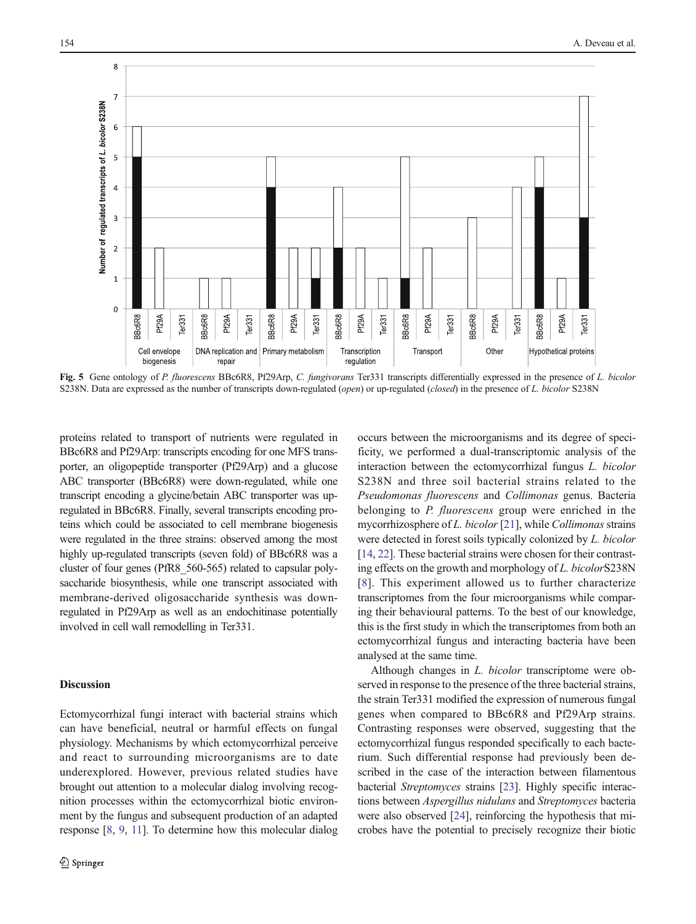<span id="page-8-0"></span>

Fig. 5 Gene ontology of P. fluorescens BBc6R8, Pf29Arp, C. fungivorans Ter331 transcripts differentially expressed in the presence of L. bicolor S238N. Data are expressed as the number of transcripts down-regulated (open) or up-regulated (closed) in the presence of L. bicolor S238N

proteins related to transport of nutrients were regulated in BBc6R8 and Pf29Arp: transcripts encoding for one MFS transporter, an oligopeptide transporter (Pf29Arp) and a glucose ABC transporter (BBc6R8) were down-regulated, while one transcript encoding a glycine/betain ABC transporter was upregulated in BBc6R8. Finally, several transcripts encoding proteins which could be associated to cell membrane biogenesis were regulated in the three strains: observed among the most highly up-regulated transcripts (seven fold) of BBc6R8 was a cluster of four genes (PfR8\_560-565) related to capsular polysaccharide biosynthesis, while one transcript associated with membrane-derived oligosaccharide synthesis was downregulated in Pf29Arp as well as an endochitinase potentially involved in cell wall remodelling in Ter331.

# **Discussion**

Ectomycorrhizal fungi interact with bacterial strains which can have beneficial, neutral or harmful effects on fungal physiology. Mechanisms by which ectomycorrhizal perceive and react to surrounding microorganisms are to date underexplored. However, previous related studies have brought out attention to a molecular dialog involving recognition processes within the ectomycorrhizal biotic environment by the fungus and subsequent production of an adapted response [\[8](#page-12-0), [9,](#page-12-0) [11\]](#page-12-0). To determine how this molecular dialog occurs between the microorganisms and its degree of specificity, we performed a dual-transcriptomic analysis of the interaction between the ectomycorrhizal fungus L. bicolor S238N and three soil bacterial strains related to the Pseudomonas fluorescens and Collimonas genus. Bacteria belonging to *P. fluorescens* group were enriched in the mycorrhizosphere of L. bicolor [\[21](#page-13-0)], while Collimonas strains were detected in forest soils typically colonized by L. bicolor [\[14](#page-12-0), [22](#page-13-0)]. These bacterial strains were chosen for their contrasting effects on the growth and morphology of L. bicolorS238N [[8\]](#page-12-0). This experiment allowed us to further characterize transcriptomes from the four microorganisms while comparing their behavioural patterns. To the best of our knowledge, this is the first study in which the transcriptomes from both an ectomycorrhizal fungus and interacting bacteria have been analysed at the same time.

Although changes in L. bicolor transcriptome were observed in response to the presence of the three bacterial strains, the strain Ter331 modified the expression of numerous fungal genes when compared to BBc6R8 and Pf29Arp strains. Contrasting responses were observed, suggesting that the ectomycorrhizal fungus responded specifically to each bacterium. Such differential response had previously been described in the case of the interaction between filamentous bacterial Streptomyces strains [[23](#page-13-0)]. Highly specific interactions between Aspergillus nidulans and Streptomyces bacteria were also observed [[24](#page-13-0)], reinforcing the hypothesis that microbes have the potential to precisely recognize their biotic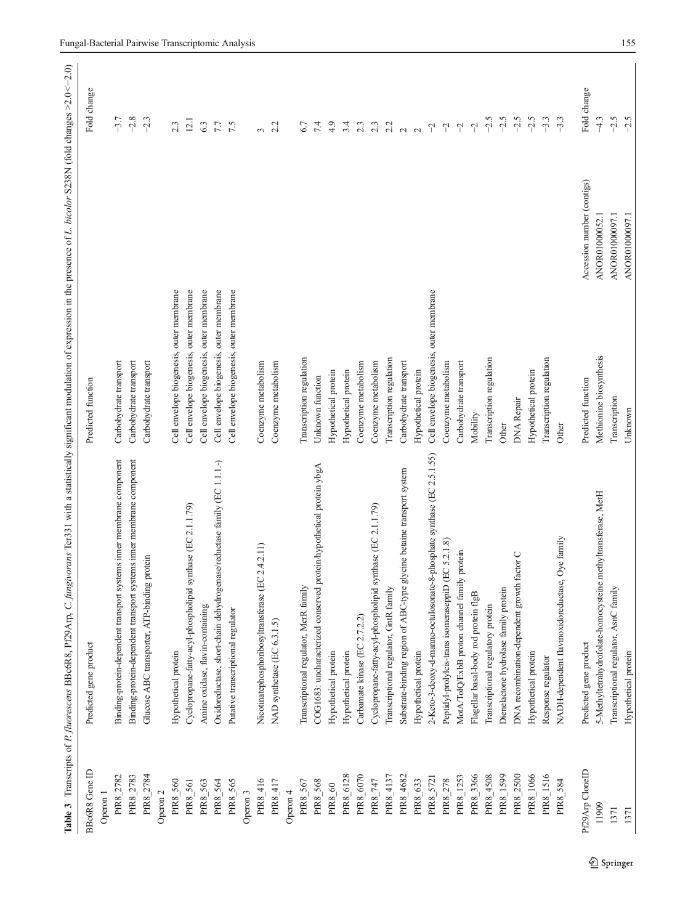<span id="page-9-0"></span>

|                 | Table 3 Transcripts of P. fluorescens BBc6R8, Pf29Arp, C. fungivoral    | ns Ter331 with a statistically significant modulation of expression in the presence of L. bicolor S238N (fold changes $>2.0 < -2.0$ ) |                            |                |
|-----------------|-------------------------------------------------------------------------|---------------------------------------------------------------------------------------------------------------------------------------|----------------------------|----------------|
| BBc6R8 Gene ID  | Predicted gene product                                                  | Predicted function                                                                                                                    |                            | Fold change    |
| Operon 1        |                                                                         |                                                                                                                                       |                            |                |
| PfR8 2782       | inner membrane component<br>Binding-protein-dependent transport systems | Carbohydrate transport                                                                                                                |                            | $-3.7$         |
| PfR8 2783       | Binding-protein-dependent transport systems inner membrane component    | Carbohydrate transport                                                                                                                |                            | $-2.8$         |
| PfR8 2784       | Glucose ABC transporter, ATP-binding protein                            | Carbohydrate transport                                                                                                                |                            | $-2.3$         |
| Operon 2        |                                                                         |                                                                                                                                       |                            |                |
| PfR8_560        | Hypothetical protein                                                    | Cell envelope biogenesis, outer membrane                                                                                              |                            | 2.3            |
| PfR8_561        | Cyclopropane-fatty-acyl-phospholipid synthase (EC 2.1.1.79)             | Cell envelope biogenesis, outer membrane                                                                                              |                            | 12.1           |
| PfR8_563        | Amine oxidase, flavin-containing                                        | Cell envelope biogenesis, outer membrane                                                                                              |                            | 6.3            |
| PfR8_564        | Oxidoreductase, short-chain dehydrogenase/reductase family (EC 1.1.1.-) | Cell envelope biogenesis, outer membrane                                                                                              |                            | 7.7            |
| PfR8_565        | Putative transcriptional regulator                                      | Cell envelope biogenesis, outer membrane                                                                                              |                            | 7.5            |
| Operon 3        |                                                                         |                                                                                                                                       |                            |                |
| PfR8_416        | 2.11)<br>Nicotinatephosphoribosyltransferase (EC 2.4.                   | Coenzyme metabolism                                                                                                                   |                            | ω              |
| PfR8_417        | NAD synthetase (EC 6.3.1.5)                                             | Coenzyme metabolism                                                                                                                   |                            | 2.2            |
| Operon 4        |                                                                         |                                                                                                                                       |                            |                |
| PfR8 567        | Transcriptional regulator, MerR family                                  | Transcription regulation                                                                                                              |                            | 6.7            |
| PfR8_568        | COG1683: uncharacterized conserved protein/hypothetical protein ybgA    | Unknown function                                                                                                                      |                            | 74             |
| PfR8 60         | Hypothetical protein                                                    | Hypothetical protein                                                                                                                  |                            | 4.9            |
| PfR8_6128       | Hypothetical protein                                                    | Hypothetical protein                                                                                                                  |                            | 3.4            |
| PfR8_6070       | Carbamate kinase (EC 2.7.2.2)                                           | Coenzyme metabolism                                                                                                                   |                            | 2.3            |
| PfR8_747        | Cyclopropane-fatty-acyl-phospholipid synthase (EC 2.1.1.79)             | Coenzyme metabolism                                                                                                                   |                            | 2.3            |
| PfR8_4137       | Transcriptional regulator, GntR family                                  | Transcription regulation                                                                                                              |                            | 2.2            |
| PfR8 4682       | Substrate-binding region of ABC-type glycine betaine transport system   | Carbohydrate transport                                                                                                                |                            | $\sim$         |
| PfR8 633        | Hypothetical protein                                                    | Hypothetical protein                                                                                                                  |                            | $\overline{c}$ |
| PfR8_5721       | 2-Keto-3-deoxy-d-manno-octulosonate-8-phosphate synthase (EC 2.5.1.55)  | Cell envelope biogenesis, outer membrane                                                                                              |                            | $\gamma$       |
| PfR8 278        | Peptidyl-prolylcis-trans isomeraseppiD (EC 5.2.1.8)                     | Coenzyme metabolism                                                                                                                   |                            | $\tilde{C}$    |
| PfR8 1253       | MotA/ToIQ/ExbB proton channel family protein                            | Carbohydrate transport                                                                                                                |                            | $\Gamma$       |
| PfR8 3366       | Flagellar basal-body rod protein flgB                                   | Mobility                                                                                                                              |                            | $\Gamma$       |
| PfR8_4508       | Transcriptional regulatory protein                                      | Transcription regulation                                                                                                              |                            | $-2.5$         |
| PfR8_1599       | Dienelactone hydrolase family protein                                   | Other                                                                                                                                 |                            | $-2.5$         |
| PfR8 2500       | DNA recombination-dependent growth factor C                             | <b>DNA Repair</b>                                                                                                                     |                            | $-2.5$         |
| PfR8_1066       | Hypothetical protein                                                    | Hypothetical protein                                                                                                                  |                            | $-2.5$         |
| PfR8_1516       | Response regulator                                                      | Transcription regulation                                                                                                              |                            | $-3.3$         |
| PfR8_584        | family<br>NADH-dependent flavinoxidoreductase, Oye                      | Other                                                                                                                                 |                            | $-3.3$         |
| Pf29Arp CloneID | Predicted gene product                                                  | Predicted function                                                                                                                    | Accession number (contigs) | Fold change    |
| 11909           | 5-Methyltetrahydrofolate-homocysteine methyltransferase, MetH           | Methionine biosynthesis                                                                                                               | ANOR01000052.1             | $-4.3$         |
| 1371            | Transcriptional regulator, AsnC family                                  | Transcription                                                                                                                         | ANOR01000097.1             | $-2.5$         |
| 1371            | Hypothetical protein                                                    | Unknown                                                                                                                               | ANOR01000097.1             | $-2.5$         |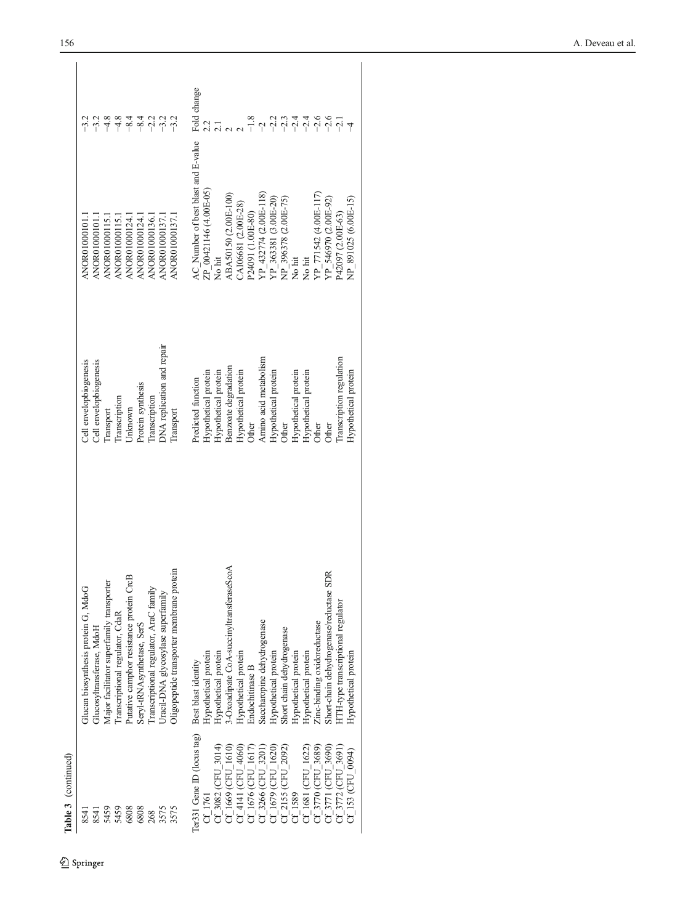| Table 3 (continued)                            |                                                |                            |                                       |             |
|------------------------------------------------|------------------------------------------------|----------------------------|---------------------------------------|-------------|
| 8541                                           | Glucan biosynthesis protein G, MdoG            | Cell envelopbiogenesis     | ANOR01000101.                         |             |
| 8541                                           | Glucosyltransferase, MdoH                      | Cell envelopbiogenesis     | ANOR01000101.                         |             |
| 5459                                           | Major facilitator superfamily transporter      | <b>Transport</b>           | ANOR01000115.                         | $-4.8$      |
| 5459<br>6808                                   | Transcriptional regulator, CdaR                | Transcription              | ANOR01000115.                         | $-4.8$      |
|                                                | utative camphor resistance protein CrcB        | Unknown                    | ANOR01000124.                         | $-8.4$      |
| 6808                                           | Seryl-tRNAsynthetase, SerS                     | Protein synthesis          | ANOR01000124.                         | $-8.4$      |
| 268                                            | Transcriptional regulator, AraC family         | <b>Transcription</b>       | ANOR01000136.                         | $-2.2$      |
| 3575                                           | Jracil-DNA glycosylase superfamily             | DNA replication and repair | <b>ANOR01000137.</b>                  | $-3.2$      |
| 3575                                           | xtein<br>Oligopeptide transporter membrane pro | Transport                  | ANOR01000137.1                        |             |
| Ter331 Gene ID (locus tag) Best blast identity |                                                | Predicted function         | AC_Number of best blast and E-value   | Fold change |
| Cf 1761                                        | Hypothetical protein                           | Hypothetical protein       | ZP 00421146 (4.00E-05)                | 2.2         |
| Cf_3082 (CFU_3014)                             | Hypothetical protein                           | Hypothetical protein       | No hit                                |             |
| Cf 1669 (CFU 1610)                             | Oxoadipate CoA-succinyltransferaseScoA         | Benzoate degradation       | ABA50150 (2.00E-100)                  |             |
| Cf 4141 (CFU 4060)                             | <b>Typothetical</b> protein                    | Hypothetical protein       | CA106681 (2.00E-28)                   |             |
| Cf 1676 (CFU 1617)                             | Endochitinase B                                | Other                      | P24091 (1.00E-80)                     | $-1.8$      |
| Cf 3266 (CFU 3201)                             | Saccharopine dehydrogenase                     | Amino acid metabolism      | $\text{CP}_432774\text{ (2.00E-118)}$ |             |
| Cf 1679 (CFU 1620)                             | Hypothetical protein                           | Hypothetical protein       | YP_363381 (3.00E-20)                  |             |
| Cf 2155 (CFU_2092)                             | Short chain dehydrogenase                      | Other                      | NP 396378 (2.00E-75)                  | $-2.3$      |
| Cf 1589                                        | Hypothetical protein                           | Hypothetical protein       | No hit                                | $-2.4$      |
| Cf_1681 (CFU_1622)                             | Hypothetical protein                           | Hypothetical protein       | No hit                                | $-2.4$      |
| Cf_3770 (CFU_3689)                             | Zinc-binding oxidoreductase                    | Other                      | YP 771542 (4.00E-117)                 | $-2.6$      |
| Cf 3771 (CFU 3690)                             | Short-chain dehydrogenase/reductase SDR        | Other                      | YP 546970 (2.00E-92)                  | $-2.6$      |
| Cf 3772 (CFU 3691)                             | HTH-type transcriptional regulator             | Transcription regulation   | P42097 (2.00E-63)                     |             |
| Cf 153 (CFU 0094)                              | Hypothetical protein                           | Hypothetical protein       | NP_891025 (6.00E-15)                  |             |
|                                                |                                                |                            |                                       |             |

 $\underline{\textcircled{\tiny 2}}$  Springer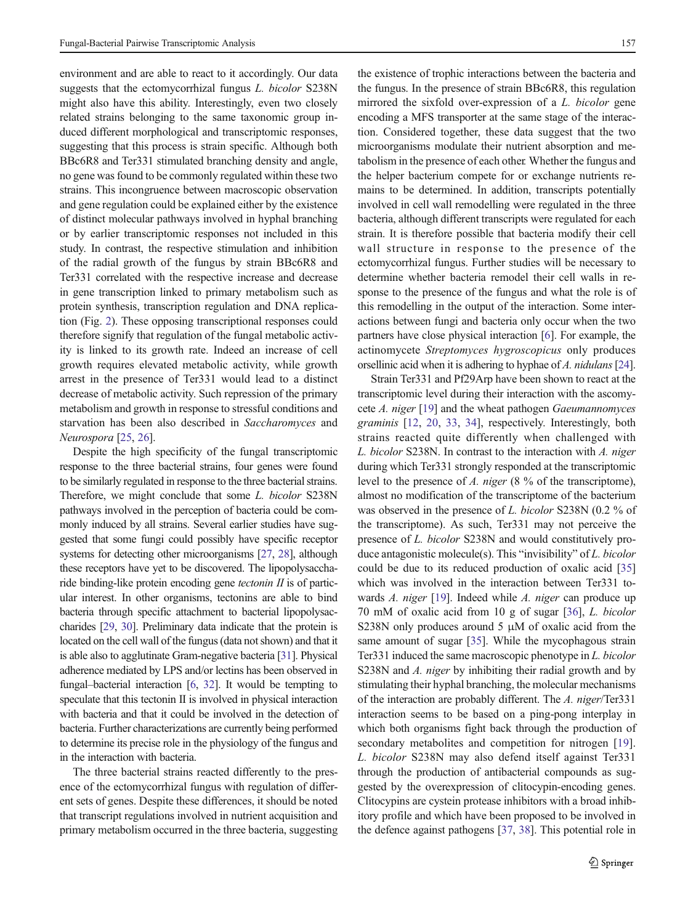environment and are able to react to it accordingly. Our data suggests that the ectomycorrhizal fungus L. bicolor S238N might also have this ability. Interestingly, even two closely related strains belonging to the same taxonomic group induced different morphological and transcriptomic responses, suggesting that this process is strain specific. Although both BBc6R8 and Ter331 stimulated branching density and angle, no gene was found to be commonly regulated within these two strains. This incongruence between macroscopic observation and gene regulation could be explained either by the existence of distinct molecular pathways involved in hyphal branching or by earlier transcriptomic responses not included in this study. In contrast, the respective stimulation and inhibition of the radial growth of the fungus by strain BBc6R8 and Ter331 correlated with the respective increase and decrease in gene transcription linked to primary metabolism such as protein synthesis, transcription regulation and DNA replication (Fig. [2](#page-6-0)). These opposing transcriptional responses could therefore signify that regulation of the fungal metabolic activity is linked to its growth rate. Indeed an increase of cell growth requires elevated metabolic activity, while growth arrest in the presence of Ter331 would lead to a distinct decrease of metabolic activity. Such repression of the primary metabolism and growth in response to stressful conditions and starvation has been also described in Saccharomyces and Neurospora [\[25,](#page-13-0) [26\]](#page-13-0).

Despite the high specificity of the fungal transcriptomic response to the three bacterial strains, four genes were found to be similarly regulated in response to the three bacterial strains. Therefore, we might conclude that some L. bicolor S238N pathways involved in the perception of bacteria could be commonly induced by all strains. Several earlier studies have suggested that some fungi could possibly have specific receptor systems for detecting other microorganisms [\[27,](#page-13-0) [28\]](#page-13-0), although these receptors have yet to be discovered. The lipopolysaccharide binding-like protein encoding gene tectonin II is of particular interest. In other organisms, tectonins are able to bind bacteria through specific attachment to bacterial lipopolysaccharides [\[29,](#page-13-0) [30](#page-13-0)]. Preliminary data indicate that the protein is located on the cell wall of the fungus (data not shown) and that it is able also to agglutinate Gram-negative bacteria [\[31\]](#page-13-0). Physical adherence mediated by LPS and/or lectins has been observed in fungal–bacterial interaction [\[6,](#page-12-0) [32\]](#page-13-0). It would be tempting to speculate that this tectonin II is involved in physical interaction with bacteria and that it could be involved in the detection of bacteria. Further characterizations are currently being performed to determine its precise role in the physiology of the fungus and in the interaction with bacteria.

The three bacterial strains reacted differently to the presence of the ectomycorrhizal fungus with regulation of different sets of genes. Despite these differences, it should be noted that transcript regulations involved in nutrient acquisition and primary metabolism occurred in the three bacteria, suggesting

the existence of trophic interactions between the bacteria and the fungus. In the presence of strain BBc6R8, this regulation mirrored the sixfold over-expression of a L. bicolor gene encoding a MFS transporter at the same stage of the interaction. Considered together, these data suggest that the two microorganisms modulate their nutrient absorption and metabolism in the presence of each other. Whether the fungus and the helper bacterium compete for or exchange nutrients remains to be determined. In addition, transcripts potentially involved in cell wall remodelling were regulated in the three bacteria, although different transcripts were regulated for each strain. It is therefore possible that bacteria modify their cell wall structure in response to the presence of the ectomycorrhizal fungus. Further studies will be necessary to determine whether bacteria remodel their cell walls in response to the presence of the fungus and what the role is of this remodelling in the output of the interaction. Some interactions between fungi and bacteria only occur when the two partners have close physical interaction [\[6](#page-12-0)]. For example, the actinomycete Streptomyces hygroscopicus only produces orsellinic acid when it is adhering to hyphae of A. nidulans[\[24\]](#page-13-0).

Strain Ter331 and Pf29Arp have been shown to react at the transcriptomic level during their interaction with the ascomycete A. niger [[19](#page-13-0)] and the wheat pathogen Gaeumannomyces graminis [\[12](#page-12-0), [20](#page-13-0), [33,](#page-13-0) [34](#page-13-0)], respectively. Interestingly, both strains reacted quite differently when challenged with L. bicolor S238N. In contrast to the interaction with A. niger during which Ter331 strongly responded at the transcriptomic level to the presence of A. niger (8 % of the transcriptome), almost no modification of the transcriptome of the bacterium was observed in the presence of L. bicolor S238N (0.2 % of the transcriptome). As such, Ter331 may not perceive the presence of L. bicolor S238N and would constitutively produce antagonistic molecule(s). This "invisibility" of L. bicolor could be due to its reduced production of oxalic acid [\[35](#page-13-0)] which was involved in the interaction between Ter331 to-wards A. niger [\[19\]](#page-13-0). Indeed while A. niger can produce up 70 mM of oxalic acid from 10 g of sugar [\[36\]](#page-13-0), L. bicolor S238N only produces around 5 μM of oxalic acid from the same amount of sugar [[35](#page-13-0)]. While the mycophagous strain Ter331 induced the same macroscopic phenotype in L. bicolor S238N and A. niger by inhibiting their radial growth and by stimulating their hyphal branching, the molecular mechanisms of the interaction are probably different. The A. niger/Ter331 interaction seems to be based on a ping-pong interplay in which both organisms fight back through the production of secondary metabolites and competition for nitrogen [\[19](#page-13-0)]. L. bicolor S238N may also defend itself against Ter331 through the production of antibacterial compounds as suggested by the overexpression of clitocypin-encoding genes. Clitocypins are cystein protease inhibitors with a broad inhibitory profile and which have been proposed to be involved in the defence against pathogens [\[37,](#page-13-0) [38\]](#page-13-0). This potential role in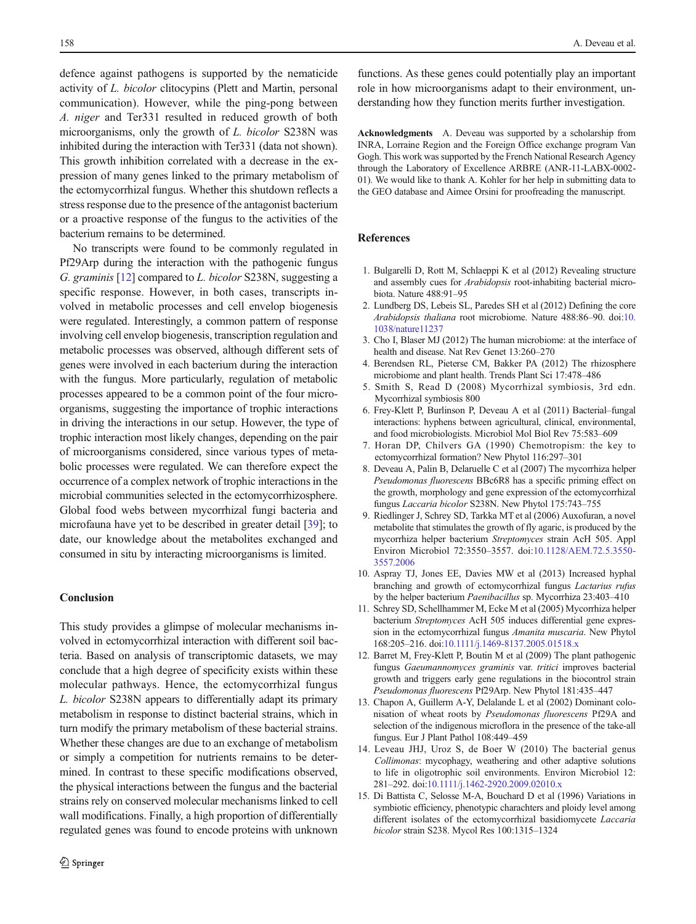<span id="page-12-0"></span>defence against pathogens is supported by the nematicide activity of L. bicolor clitocypins (Plett and Martin, personal communication). However, while the ping-pong between A. niger and Ter331 resulted in reduced growth of both microorganisms, only the growth of L. bicolor S238N was inhibited during the interaction with Ter331 (data not shown). This growth inhibition correlated with a decrease in the expression of many genes linked to the primary metabolism of the ectomycorrhizal fungus. Whether this shutdown reflects a stress response due to the presence of the antagonist bacterium or a proactive response of the fungus to the activities of the bacterium remains to be determined.

No transcripts were found to be commonly regulated in Pf29Arp during the interaction with the pathogenic fungus G. graminis [12] compared to L. bicolor S238N, suggesting a specific response. However, in both cases, transcripts involved in metabolic processes and cell envelop biogenesis were regulated. Interestingly, a common pattern of response involving cell envelop biogenesis, transcription regulation and metabolic processes was observed, although different sets of genes were involved in each bacterium during the interaction with the fungus. More particularly, regulation of metabolic processes appeared to be a common point of the four microorganisms, suggesting the importance of trophic interactions in driving the interactions in our setup. However, the type of trophic interaction most likely changes, depending on the pair of microorganisms considered, since various types of metabolic processes were regulated. We can therefore expect the occurrence of a complex network of trophic interactions in the microbial communities selected in the ectomycorrhizosphere. Global food webs between mycorrhizal fungi bacteria and microfauna have yet to be described in greater detail [\[39\]](#page-13-0); to date, our knowledge about the metabolites exchanged and consumed in situ by interacting microorganisms is limited.

#### **Conclusion**

This study provides a glimpse of molecular mechanisms involved in ectomycorrhizal interaction with different soil bacteria. Based on analysis of transcriptomic datasets, we may conclude that a high degree of specificity exists within these molecular pathways. Hence, the ectomycorrhizal fungus L. bicolor S238N appears to differentially adapt its primary metabolism in response to distinct bacterial strains, which in turn modify the primary metabolism of these bacterial strains. Whether these changes are due to an exchange of metabolism or simply a competition for nutrients remains to be determined. In contrast to these specific modifications observed, the physical interactions between the fungus and the bacterial strains rely on conserved molecular mechanisms linked to cell wall modifications. Finally, a high proportion of differentially regulated genes was found to encode proteins with unknown

functions. As these genes could potentially play an important role in how microorganisms adapt to their environment, understanding how they function merits further investigation.

Acknowledgments A. Deveau was supported by a scholarship from INRA, Lorraine Region and the Foreign Office exchange program Van Gogh. This work was supported by the French National Research Agency through the Laboratory of Excellence ARBRE (ANR-11-LABX-0002- 01). We would like to thank A. Kohler for her help in submitting data to the GEO database and Aimee Orsini for proofreading the manuscript.

# References

- 1. Bulgarelli D, Rott M, Schlaeppi K et al (2012) Revealing structure and assembly cues for Arabidopsis root-inhabiting bacterial microbiota. Nature 488:91–95
- 2. Lundberg DS, Lebeis SL, Paredes SH et al (2012) Defining the core Arabidopsis thaliana root microbiome. Nature 488:86–90. doi[:10.](http://dx.doi.org/10.1038/nature11237) [1038/nature11237](http://dx.doi.org/10.1038/nature11237)
- 3. Cho I, Blaser MJ (2012) The human microbiome: at the interface of health and disease. Nat Rev Genet 13:260–270
- 4. Berendsen RL, Pieterse CM, Bakker PA (2012) The rhizosphere microbiome and plant health. Trends Plant Sci 17:478–486
- 5. Smith S, Read D (2008) Mycorrhizal symbiosis, 3rd edn. Mycorrhizal symbiosis 800
- 6. Frey-Klett P, Burlinson P, Deveau A et al (2011) Bacterial–fungal interactions: hyphens between agricultural, clinical, environmental, and food microbiologists. Microbiol Mol Biol Rev 75:583–609
- 7. Horan DP, Chilvers GA (1990) Chemotropism: the key to ectomycorrhizal formation? New Phytol 116:297–301
- 8. Deveau A, Palin B, Delaruelle C et al (2007) The mycorrhiza helper Pseudomonas fluorescens BBc6R8 has a specific priming effect on the growth, morphology and gene expression of the ectomycorrhizal fungus Laccaria bicolor S238N. New Phytol 175:743–755
- 9. Riedlinger J, Schrey SD, Tarkka MT et al (2006) Auxofuran, a novel metabolite that stimulates the growth of fly agaric, is produced by the mycorrhiza helper bacterium Streptomyces strain AcH 505. Appl Environ Microbiol 72:3550–3557. doi:[10.1128/AEM.72.5.3550-](http://dx.doi.org/10.1128/AEM.72.5.3550-3557.2006) [3557.2006](http://dx.doi.org/10.1128/AEM.72.5.3550-3557.2006)
- 10. Aspray TJ, Jones EE, Davies MW et al (2013) Increased hyphal branching and growth of ectomycorrhizal fungus Lactarius rufus by the helper bacterium Paenibacillus sp. Mycorrhiza 23:403–410
- 11. Schrey SD, Schellhammer M, Ecke M et al (2005) Mycorrhiza helper bacterium Streptomyces AcH 505 induces differential gene expression in the ectomycorrhizal fungus Amanita muscaria. New Phytol 168:205–216. doi[:10.1111/j.1469-8137.2005.01518.x](http://dx.doi.org/10.1111/j.1469-8137.2005.01518.x)
- 12. Barret M, Frey-Klett P, Boutin M et al (2009) The plant pathogenic fungus Gaeumannomyces graminis var. tritici improves bacterial growth and triggers early gene regulations in the biocontrol strain Pseudomonas fluorescens Pf29Arp. New Phytol 181:435–447
- 13. Chapon A, Guillerm A-Y, Delalande L et al (2002) Dominant colonisation of wheat roots by Pseudomonas fluorescens Pf29A and selection of the indigenous microflora in the presence of the take-all fungus. Eur J Plant Pathol 108:449–459
- 14. Leveau JHJ, Uroz S, de Boer W (2010) The bacterial genus Collimonas: mycophagy, weathering and other adaptive solutions to life in oligotrophic soil environments. Environ Microbiol 12: 281–292. doi:[10.1111/j.1462-2920.2009.02010.x](http://dx.doi.org/10.1111/j.1462-2920.2009.02010.x)
- 15. Di Battista C, Selosse M-A, Bouchard D et al (1996) Variations in symbiotic efficiency, phenotypic charachters and ploidy level among different isolates of the ectomycorrhizal basidiomycete Laccaria bicolor strain S238. Mycol Res 100:1315–1324